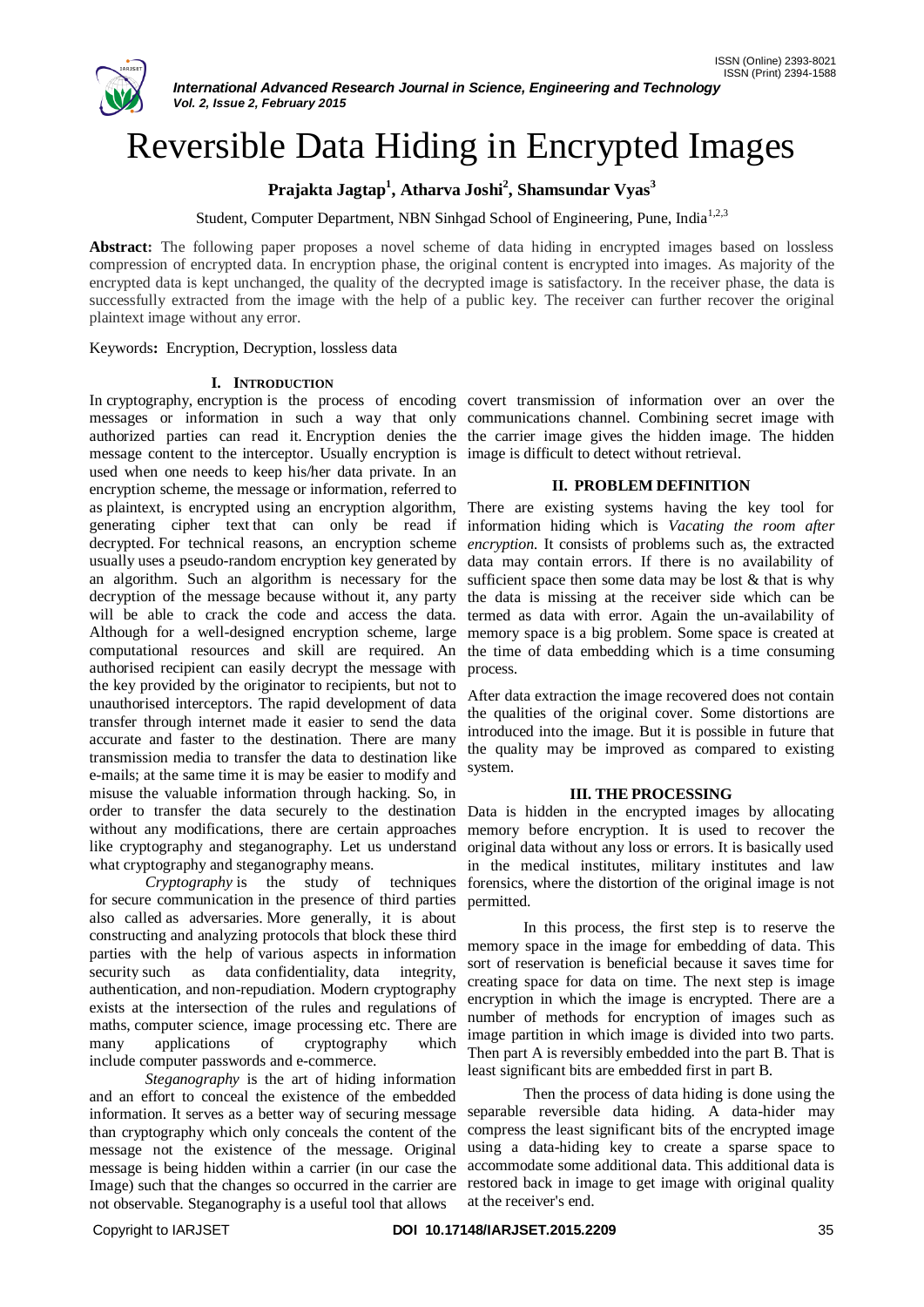

# Reversible Data Hiding in Encrypted Images

## **Prajakta Jagtap<sup>1</sup> , Atharva Joshi<sup>2</sup> , Shamsundar Vyas<sup>3</sup>**

Student, Computer Department, NBN Sinhgad School of Engineering, Pune, India<sup>1,2,3</sup>

Abstract: The following paper proposes a novel scheme of data hiding in encrypted images based on lossless compression of encrypted data. In encryption phase, the original content is encrypted into images. As majority of the encrypted data is kept unchanged, the quality of the decrypted image is satisfactory. In the receiver phase, the data is successfully extracted from the image with the help of a public key. The receiver can further recover the original plaintext image without any error.

Keywords**:** Encryption, Decryption, lossless data

#### **I. INTRODUCTION**

In cryptography, encryption is the process of encoding covert transmission of information over an over the messages or information in such a way that only communications channel. Combining secret image with authorized parties can read it. Encryption denies the the carrier image gives the hidden image. The hidden message content to the interceptor. Usually encryption is image is difficult to detect without retrieval. used when one needs to keep his/her data private. In an encryption scheme, the message or information, referred to as plaintext, is encrypted using an encryption algorithm, There are existing systems having the key tool for generating cipher text that can only be read if information hiding which is *Vacating the room after*  decrypted. For technical reasons, an encryption scheme *encryption.* It consists of problems such as, the extracted usually uses a pseudo-random encryption key generated by an algorithm. Such an algorithm is necessary for the sufficient space then some data may be lost & that is why decryption of the message because without it, any party will be able to crack the code and access the data. Although for a well-designed encryption scheme, large computational resources and skill are required. An authorised recipient can easily decrypt the message with the key provided by the originator to recipients, but not to unauthorised interceptors. The rapid development of data transfer through internet made it easier to send the data accurate and faster to the destination. There are many transmission media to transfer the data to destination like e-mails; at the same time it is may be easier to modify and misuse the valuable information through hacking. So, in order to transfer the data securely to the destination without any modifications, there are certain approaches like cryptography and steganography. Let us understand what cryptography and steganography means.

*Cryptography* is the study of techniques for secure communication in the presence of third parties also called as adversaries. More generally, it is about constructing and analyzing protocols that block these third parties with the help of various aspects in information security such as data confidentiality, data integrity, authentication, and non-repudiation. Modern cryptography exists at the intersection of the rules and regulations of maths, computer science, image processing etc. There are many applications of cryptography which include computer passwords and e-commerce.

*Steganography* is the art of hiding information and an effort to conceal the existence of the embedded information. It serves as a better way of securing message than cryptography which only conceals the content of the message not the existence of the message. Original message is being hidden within a carrier (in our case the Image) such that the changes so occurred in the carrier are not observable. Steganography is a useful tool that allows

## **II. PROBLEM DEFINITION**

data may contain errors. If there is no availability of the data is missing at the receiver side which can be termed as data with error. Again the un-availability of memory space is a big problem. Some space is created at the time of data embedding which is a time consuming process.

After data extraction the image recovered does not contain the qualities of the original cover. Some distortions are introduced into the image. But it is possible in future that the quality may be improved as compared to existing system.

## **III. THE PROCESSING**

Data is hidden in the encrypted images by allocating memory before encryption. It is used to recover the original data without any loss or errors. It is basically used in the medical institutes, military institutes and law forensics, where the distortion of the original image is not permitted.

In this process, the first step is to reserve the memory space in the image for embedding of data. This sort of reservation is beneficial because it saves time for creating space for data on time. The next step is image encryption in which the image is encrypted. There are a number of methods for encryption of images such as image partition in which image is divided into two parts. Then part A is reversibly embedded into the part B. That is least significant bits are embedded first in part B.

Then the process of data hiding is done using the separable reversible data hiding. A data-hider may compress the least significant bits of the encrypted image using a data-hiding key to create a sparse space to accommodate some additional data. This additional data is restored back in image to get image with original quality at the receiver's end.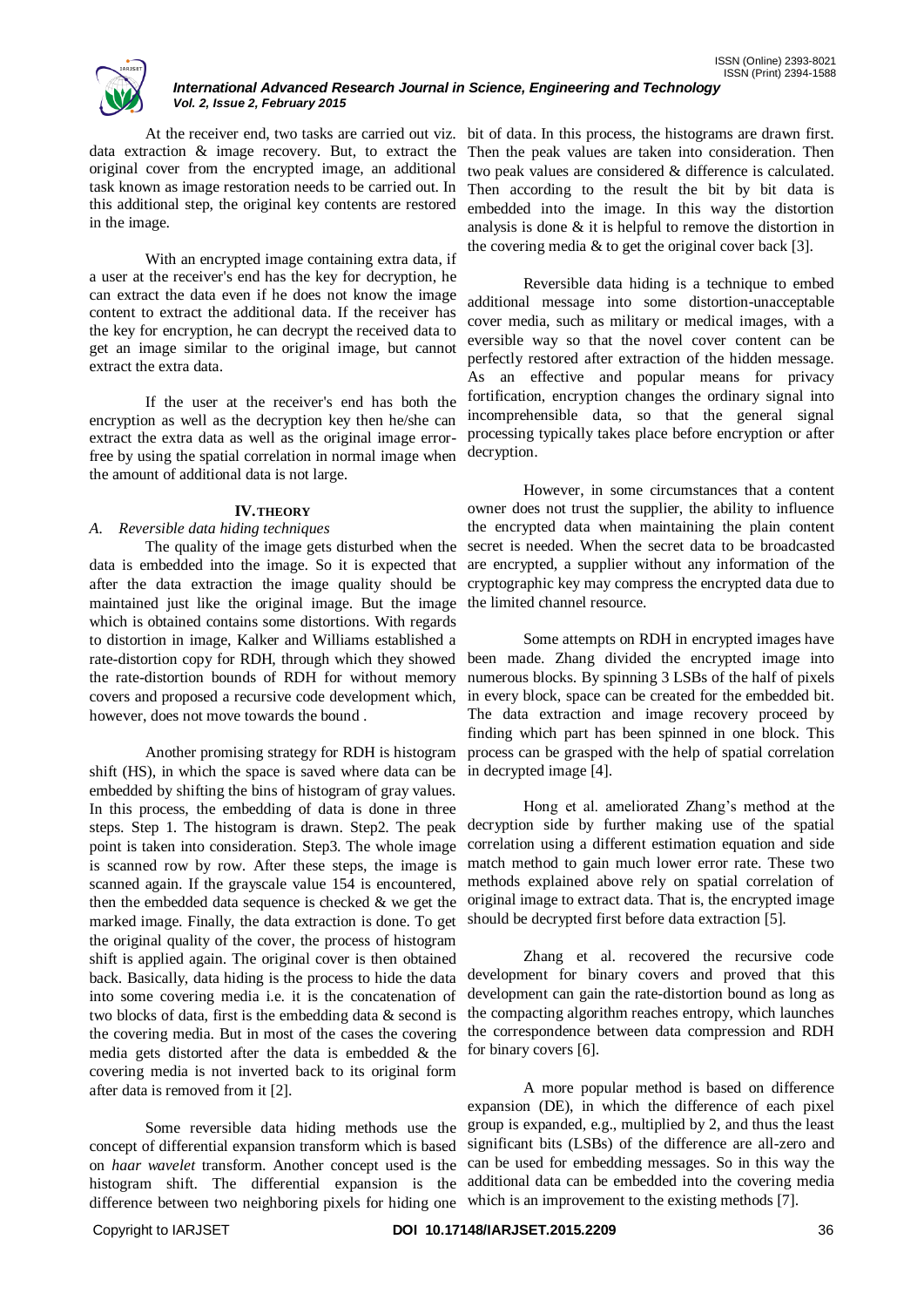

## *International Advanced Research Journal in Science, Engineering and Technology Vol. 2, Issue 2, February 2015*

data extraction & image recovery. But, to extract the original cover from the encrypted image, an additional task known as image restoration needs to be carried out. In this additional step, the original key contents are restored in the image.

With an encrypted image containing extra data, if a user at the receiver's end has the key for decryption, he can extract the data even if he does not know the image content to extract the additional data. If the receiver has the key for encryption, he can decrypt the received data to get an image similar to the original image, but cannot extract the extra data.

If the user at the receiver's end has both the encryption as well as the decryption key then he/she can extract the extra data as well as the original image errorfree by using the spatial correlation in normal image when the amount of additional data is not large.

#### **IV.THEORY**

## *A. Reversible data hiding techniques*

The quality of the image gets disturbed when the data is embedded into the image. So it is expected that after the data extraction the image quality should be maintained just like the original image. But the image the limited channel resource. which is obtained contains some distortions. With regards to distortion in image, Kalker and Williams established a rate-distortion copy for RDH, through which they showed the rate-distortion bounds of RDH for without memory covers and proposed a recursive code development which, however, does not move towards the bound .

Another promising strategy for RDH is histogram shift (HS), in which the space is saved where data can be embedded by shifting the bins of histogram of gray values. In this process, the embedding of data is done in three steps. Step 1. The histogram is drawn. Step2. The peak point is taken into consideration. Step3. The whole image is scanned row by row. After these steps, the image is scanned again. If the grayscale value 154 is encountered, then the embedded data sequence is checked  $\&$  we get the marked image. Finally, the data extraction is done. To get the original quality of the cover, the process of histogram shift is applied again. The original cover is then obtained back. Basically, data hiding is the process to hide the data into some covering media i.e. it is the concatenation of two blocks of data, first is the embedding data & second is the covering media. But in most of the cases the covering media gets distorted after the data is embedded & the covering media is not inverted back to its original form after data is removed from it [2].

Some reversible data hiding methods use the concept of differential expansion transform which is based on *haar wavelet* transform. Another concept used is the histogram shift. The differential expansion is the difference between two neighboring pixels for hiding one which is an improvement to the existing methods [7].

At the receiver end, two tasks are carried out viz. bit of data. In this process, the histograms are drawn first. Then the peak values are taken into consideration. Then two peak values are considered & difference is calculated. Then according to the result the bit by bit data is embedded into the image. In this way the distortion analysis is done & it is helpful to remove the distortion in the covering media  $&$  to get the original cover back [3].

> Reversible data hiding is a technique to embed additional message into some distortion-unacceptable cover media, such as military or medical images, with a eversible way so that the novel cover content can be perfectly restored after extraction of the hidden message. As an effective and popular means for privacy fortification, encryption changes the ordinary signal into incomprehensible data, so that the general signal processing typically takes place before encryption or after decryption.

> However, in some circumstances that a content owner does not trust the supplier, the ability to influence the encrypted data when maintaining the plain content secret is needed. When the secret data to be broadcasted are encrypted, a supplier without any information of the cryptographic key may compress the encrypted data due to

> Some attempts on RDH in encrypted images have been made. Zhang divided the encrypted image into numerous blocks. By spinning 3 LSBs of the half of pixels in every block, space can be created for the embedded bit. The data extraction and image recovery proceed by finding which part has been spinned in one block. This process can be grasped with the help of spatial correlation in decrypted image [4].

> Hong et al. ameliorated Zhang's method at the decryption side by further making use of the spatial correlation using a different estimation equation and side match method to gain much lower error rate. These two methods explained above rely on spatial correlation of original image to extract data. That is, the encrypted image should be decrypted first before data extraction [5].

> Zhang et al. recovered the recursive code development for binary covers and proved that this development can gain the rate-distortion bound as long as the compacting algorithm reaches entropy, which launches the correspondence between data compression and RDH for binary covers [6].

> A more popular method is based on difference expansion (DE), in which the difference of each pixel group is expanded, e.g., multiplied by 2, and thus the least significant bits (LSBs) of the difference are all-zero and can be used for embedding messages. So in this way the additional data can be embedded into the covering media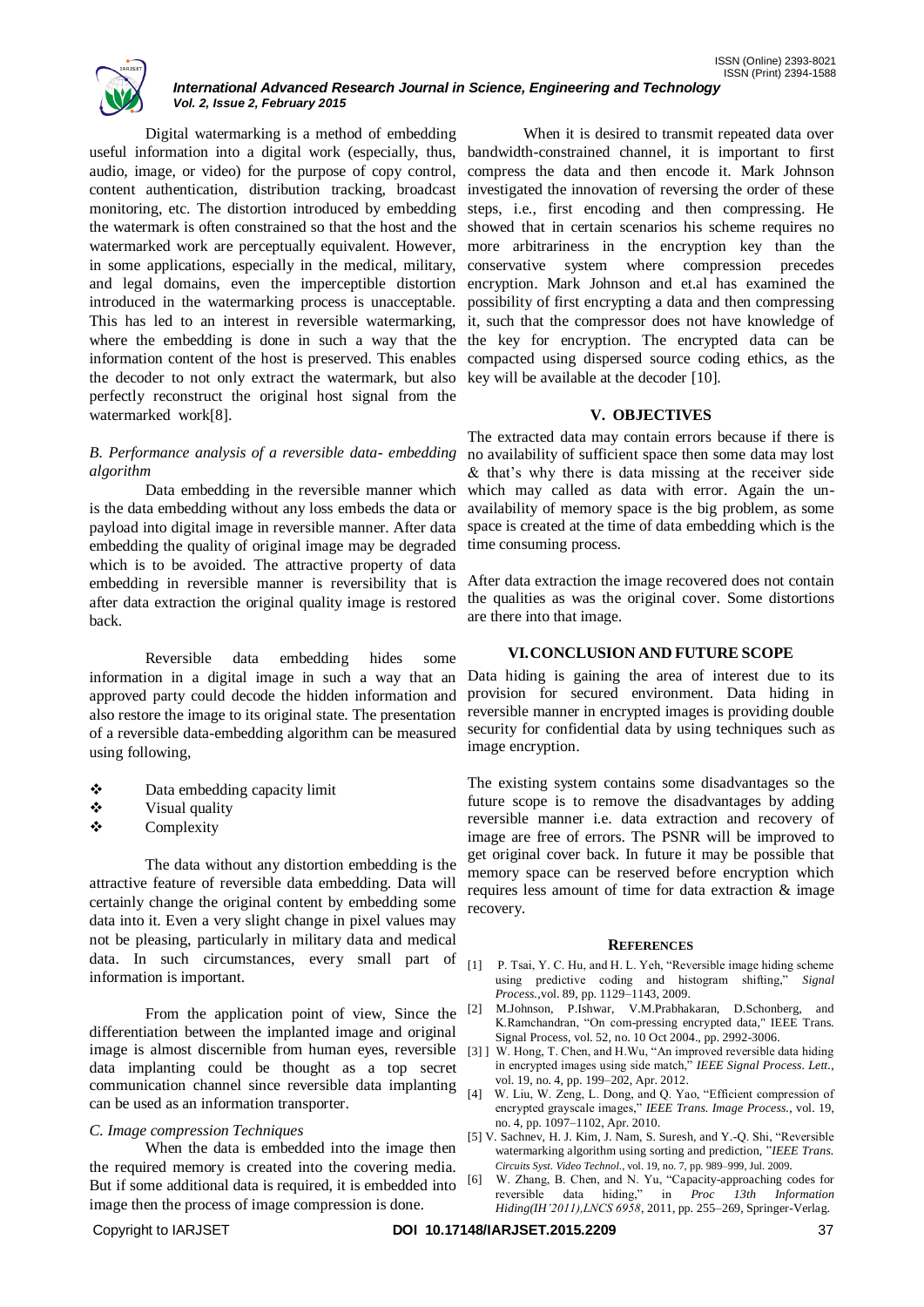

#### *International Advanced Research Journal in Science, Engineering and Technology Vol. 2, Issue 2, February 2015*

Digital watermarking is a method of embedding useful information into a digital work (especially, thus, bandwidth-constrained channel, it is important to first audio, image, or video) for the purpose of copy control, compress the data and then encode it. Mark Johnson content authentication, distribution tracking, broadcast investigated the innovation of reversing the order of these monitoring, etc. The distortion introduced by embedding steps, i.e., first encoding and then compressing. He the watermark is often constrained so that the host and the showed that in certain scenarios his scheme requires no watermarked work are perceptually equivalent. However, more arbitrariness in the encryption key than the in some applications, especially in the medical, military, conservative system where compression precedes and legal domains, even the imperceptible distortion encryption. Mark Johnson and et.al has examined the introduced in the watermarking process is unacceptable. possibility of first encrypting a data and then compressing This has led to an interest in reversible watermarking, it, such that the compressor does not have knowledge of where the embedding is done in such a way that the the key for encryption. The encrypted data can be information content of the host is preserved. This enables compacted using dispersed source coding ethics, as the the decoder to not only extract the watermark, but also key will be available at the decoder [10]. perfectly reconstruct the original host signal from the watermarked work[8].

## *B. Performance analysis of a reversible data- embedding algorithm*

Data embedding in the reversible manner which is the data embedding without any loss embeds the data or payload into digital image in reversible manner. After data embedding the quality of original image may be degraded which is to be avoided. The attractive property of data embedding in reversible manner is reversibility that is after data extraction the original quality image is restored back.

Reversible data embedding hides some information in a digital image in such a way that an approved party could decode the hidden information and also restore the image to its original state. The presentation of a reversible data-embedding algorithm can be measured using following,

- Data embedding capacity limit
- Visual quality
- Complexity

The data without any distortion embedding is the attractive feature of reversible data embedding. Data will certainly change the original content by embedding some data into it. Even a very slight change in pixel values may not be pleasing, particularly in military data and medical data. In such circumstances, every small part of information is important.

From the application point of view, Since the <sup>[2]</sup> differentiation between the implanted image and original image is almost discernible from human eyes, reversible [3] [ data implanting could be thought as a top secret communication channel since reversible data implanting can be used as an information transporter.

## *C. Image compression Techniques*

When the data is embedded into the image then the required memory is created into the covering media. But if some additional data is required, it is embedded into image then the process of image compression is done.

When it is desired to transmit repeated data over

#### **V. OBJECTIVES**

The extracted data may contain errors because if there is no availability of sufficient space then some data may lost & that's why there is data missing at the receiver side which may called as data with error. Again the unavailability of memory space is the big problem, as some space is created at the time of data embedding which is the time consuming process.

After data extraction the image recovered does not contain the qualities as was the original cover. Some distortions are there into that image.

## **VI.CONCLUSION AND FUTURE SCOPE**

Data hiding is gaining the area of interest due to its provision for secured environment. Data hiding in reversible manner in encrypted images is providing double security for confidential data by using techniques such as image encryption.

The existing system contains some disadvantages so the future scope is to remove the disadvantages by adding reversible manner i.e. data extraction and recovery of image are free of errors. The PSNR will be improved to get original cover back. In future it may be possible that memory space can be reserved before encryption which requires less amount of time for data extraction & image recovery.

#### **REFERENCES**

- [1] P. Tsai, Y. C. Hu, and H. L. Yeh, "Reversible image hiding scheme using predictive coding and histogram shifting," *Signal Process.*,vol. 89, pp. 1129–1143, 2009.
- [2] M.Johnson, P.Ishwar, V.M.Prabhakaran, D.Schonberg, and K.Ramchandran, "On com-pressing encrypted data," IEEE Trans. Signal Process, vol. 52, no. 10 Oct 2004., pp. 2992-3006.
- W. Hong, T. Chen, and H.Wu, "An improved reversible data hiding in encrypted images using side match," *IEEE Signal Process. Lett.*, vol. 19, no. 4, pp. 199–202, Apr. 2012.
- W. Liu, W. Zeng, L. Dong, and Q. Yao, "Efficient compression of encrypted grayscale images," *IEEE Trans. Image Process.*, vol. 19, no. 4, pp. 1097–1102, Apr. 2010.
- [5] V. Sachnev, H. J. Kim, J. Nam, S. Suresh, and Y.-Q. Shi, "Reversible watermarking algorithm using sorting and prediction, "*IEEE Trans. Circuits Syst. Video Technol.*, vol. 19, no. 7, pp. 989–999, Jul. 2009.
- [6] W. Zhang, B. Chen, and N. Yu, "Capacity-approaching codes for reversible data hiding," in *Proc 13th Information Hiding(IH'2011),LNCS 6958*, 2011, pp. 255–269, Springer-Verlag.